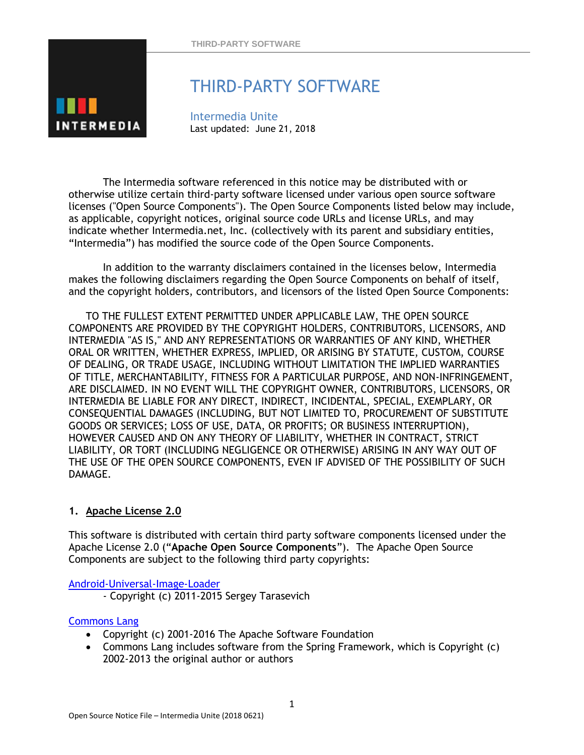

# THIRD-PARTY SOFTWARE

Intermedia Unite Last updated: June 21, 2018

The Intermedia software referenced in this notice may be distributed with or otherwise utilize certain third-party software licensed under various open source software licenses ("Open Source Components"). The Open Source Components listed below may include, as applicable, copyright notices, original source code URLs and license URLs, and may indicate whether Intermedia.net, Inc. (collectively with its parent and subsidiary entities, "Intermedia") has modified the source code of the Open Source Components.

In addition to the warranty disclaimers contained in the licenses below, Intermedia makes the following disclaimers regarding the Open Source Components on behalf of itself, and the copyright holders, contributors, and licensors of the listed Open Source Components:

TO THE FULLEST EXTENT PERMITTED UNDER APPLICABLE LAW, THE OPEN SOURCE COMPONENTS ARE PROVIDED BY THE COPYRIGHT HOLDERS, CONTRIBUTORS, LICENSORS, AND INTERMEDIA "AS IS," AND ANY REPRESENTATIONS OR WARRANTIES OF ANY KIND, WHETHER ORAL OR WRITTEN, WHETHER EXPRESS, IMPLIED, OR ARISING BY STATUTE, CUSTOM, COURSE OF DEALING, OR TRADE USAGE, INCLUDING WITHOUT LIMITATION THE IMPLIED WARRANTIES OF TITLE, MERCHANTABILITY, FITNESS FOR A PARTICULAR PURPOSE, AND NON-INFRINGEMENT, ARE DISCLAIMED. IN NO EVENT WILL THE COPYRIGHT OWNER, CONTRIBUTORS, LICENSORS, OR INTERMEDIA BE LIABLE FOR ANY DIRECT, INDIRECT, INCIDENTAL, SPECIAL, EXEMPLARY, OR CONSEQUENTIAL DAMAGES (INCLUDING, BUT NOT LIMITED TO, PROCUREMENT OF SUBSTITUTE GOODS OR SERVICES; LOSS OF USE, DATA, OR PROFITS; OR BUSINESS INTERRUPTION), HOWEVER CAUSED AND ON ANY THEORY OF LIABILITY, WHETHER IN CONTRACT, STRICT LIABILITY, OR TORT (INCLUDING NEGLIGENCE OR OTHERWISE) ARISING IN ANY WAY OUT OF THE USE OF THE OPEN SOURCE COMPONENTS, EVEN IF ADVISED OF THE POSSIBILITY OF SUCH DAMAGE.

# **1. Apache License 2.0**

This software is distributed with certain third party software components licensed under the Apache License 2.0 ("**Apache Open Source Components**"). The Apache Open Source Components are subject to the following third party copyrights:

## [Android-Universal-Image-Loader](https://github.com/nostra13/Android-Universal-Image-Loader)

- Copyright (c) 2011-2015 Sergey Tarasevich

## [Commons Lang](http://commons.apache.org/proper/commons-lang/)

- Copyright (c) 2001-2016 The Apache Software Foundation
- Commons Lang includes software from the Spring Framework, which is Copyright (c) 2002-2013 the original author or authors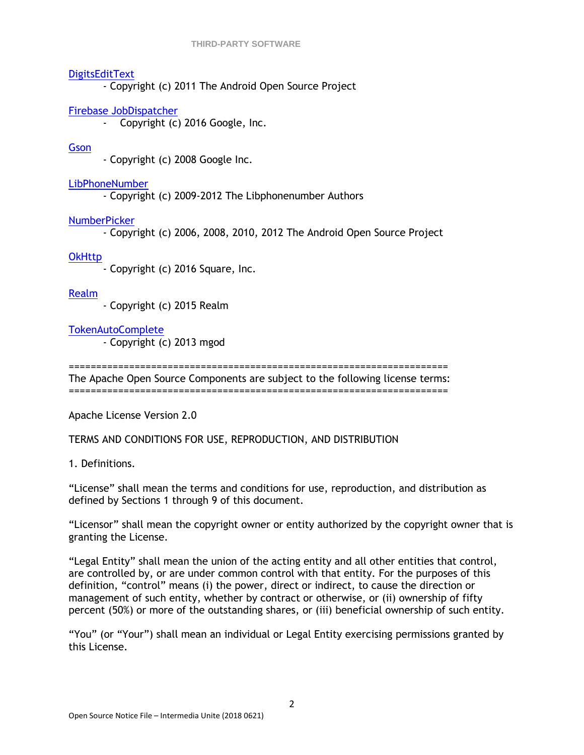## **[DigitsEditText](https://android.googlesource.com/platform/packages/apps/Contacts/+/8df53636fe956713cc3c13d9051aeb1982074286/src/com/android/contacts/dialpad/DigitsEditText.java)**

- Copyright (c) 2011 The Android Open Source Project

## Firebase JobDispatcher

- Copyright (c) 2016 Google, Inc.

## **[Gson](https://github.com/google/gson)**

- Copyright (c) 2008 Google Inc.

## [LibPhoneNumber](https://github.com/googlei18n/libphonenumber)

- Copyright (c) 2009-2012 The Libphonenumber Authors

## [NumberPicker](https://github.com/SimonVT/android-numberpicker)

- Copyright (c) 2006, 2008, 2010, 2012 The Android Open Source Project

## **[OkHttp](http://square.github.io/okhttp/)**

- Copyright (c) 2016 Square, Inc.

## [Realm](https://realm.io/)

- Copyright (c) 2015 Realm

## [TokenAutoComplete](https://github.com/splitwise/TokenAutoComplete)

- Copyright (c) 2013 mgod

=====================================================================

The Apache Open Source Components are subject to the following license terms: =====================================================================

Apache License Version 2.0

TERMS AND CONDITIONS FOR USE, REPRODUCTION, AND DISTRIBUTION

1. Definitions.

"License" shall mean the terms and conditions for use, reproduction, and distribution as defined by Sections 1 through 9 of this document.

"Licensor" shall mean the copyright owner or entity authorized by the copyright owner that is granting the License.

"Legal Entity" shall mean the union of the acting entity and all other entities that control, are controlled by, or are under common control with that entity. For the purposes of this definition, "control" means (i) the power, direct or indirect, to cause the direction or management of such entity, whether by contract or otherwise, or (ii) ownership of fifty percent (50%) or more of the outstanding shares, or (iii) beneficial ownership of such entity.

"You" (or "Your") shall mean an individual or Legal Entity exercising permissions granted by this License.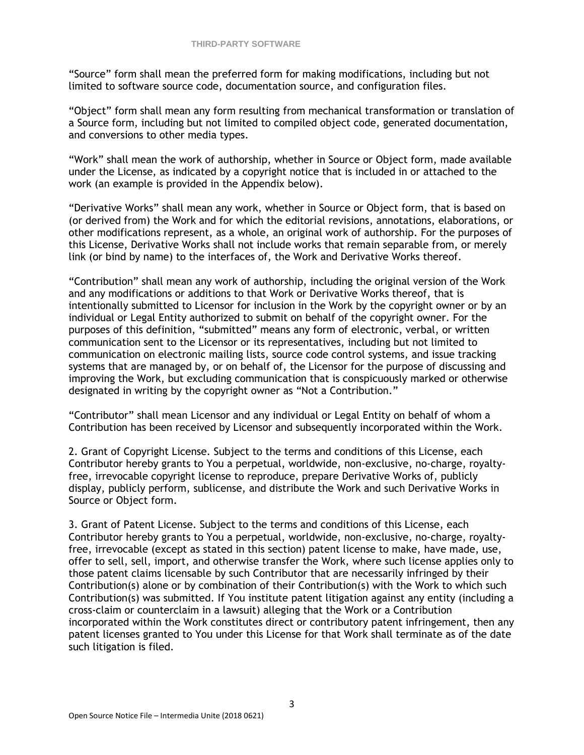"Source" form shall mean the preferred form for making modifications, including but not limited to software source code, documentation source, and configuration files.

"Object" form shall mean any form resulting from mechanical transformation or translation of a Source form, including but not limited to compiled object code, generated documentation, and conversions to other media types.

"Work" shall mean the work of authorship, whether in Source or Object form, made available under the License, as indicated by a copyright notice that is included in or attached to the work (an example is provided in the Appendix below).

"Derivative Works" shall mean any work, whether in Source or Object form, that is based on (or derived from) the Work and for which the editorial revisions, annotations, elaborations, or other modifications represent, as a whole, an original work of authorship. For the purposes of this License, Derivative Works shall not include works that remain separable from, or merely link (or bind by name) to the interfaces of, the Work and Derivative Works thereof.

"Contribution" shall mean any work of authorship, including the original version of the Work and any modifications or additions to that Work or Derivative Works thereof, that is intentionally submitted to Licensor for inclusion in the Work by the copyright owner or by an individual or Legal Entity authorized to submit on behalf of the copyright owner. For the purposes of this definition, "submitted" means any form of electronic, verbal, or written communication sent to the Licensor or its representatives, including but not limited to communication on electronic mailing lists, source code control systems, and issue tracking systems that are managed by, or on behalf of, the Licensor for the purpose of discussing and improving the Work, but excluding communication that is conspicuously marked or otherwise designated in writing by the copyright owner as "Not a Contribution."

"Contributor" shall mean Licensor and any individual or Legal Entity on behalf of whom a Contribution has been received by Licensor and subsequently incorporated within the Work.

2. Grant of Copyright License. Subject to the terms and conditions of this License, each Contributor hereby grants to You a perpetual, worldwide, non-exclusive, no-charge, royaltyfree, irrevocable copyright license to reproduce, prepare Derivative Works of, publicly display, publicly perform, sublicense, and distribute the Work and such Derivative Works in Source or Object form.

3. Grant of Patent License. Subject to the terms and conditions of this License, each Contributor hereby grants to You a perpetual, worldwide, non-exclusive, no-charge, royaltyfree, irrevocable (except as stated in this section) patent license to make, have made, use, offer to sell, sell, import, and otherwise transfer the Work, where such license applies only to those patent claims licensable by such Contributor that are necessarily infringed by their Contribution(s) alone or by combination of their Contribution(s) with the Work to which such Contribution(s) was submitted. If You institute patent litigation against any entity (including a cross-claim or counterclaim in a lawsuit) alleging that the Work or a Contribution incorporated within the Work constitutes direct or contributory patent infringement, then any patent licenses granted to You under this License for that Work shall terminate as of the date such litigation is filed.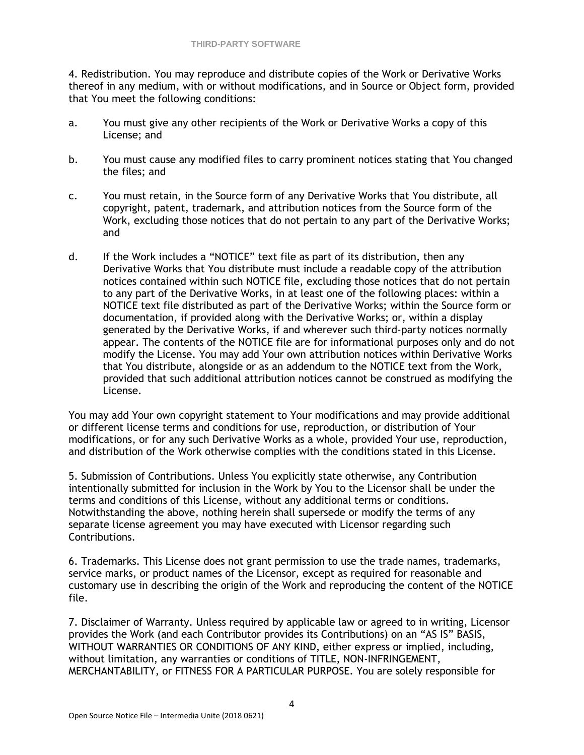4. Redistribution. You may reproduce and distribute copies of the Work or Derivative Works thereof in any medium, with or without modifications, and in Source or Object form, provided that You meet the following conditions:

- a. You must give any other recipients of the Work or Derivative Works a copy of this License; and
- b. You must cause any modified files to carry prominent notices stating that You changed the files; and
- c. You must retain, in the Source form of any Derivative Works that You distribute, all copyright, patent, trademark, and attribution notices from the Source form of the Work, excluding those notices that do not pertain to any part of the Derivative Works; and
- d. If the Work includes a "NOTICE" text file as part of its distribution, then any Derivative Works that You distribute must include a readable copy of the attribution notices contained within such NOTICE file, excluding those notices that do not pertain to any part of the Derivative Works, in at least one of the following places: within a NOTICE text file distributed as part of the Derivative Works; within the Source form or documentation, if provided along with the Derivative Works; or, within a display generated by the Derivative Works, if and wherever such third-party notices normally appear. The contents of the NOTICE file are for informational purposes only and do not modify the License. You may add Your own attribution notices within Derivative Works that You distribute, alongside or as an addendum to the NOTICE text from the Work, provided that such additional attribution notices cannot be construed as modifying the License.

You may add Your own copyright statement to Your modifications and may provide additional or different license terms and conditions for use, reproduction, or distribution of Your modifications, or for any such Derivative Works as a whole, provided Your use, reproduction, and distribution of the Work otherwise complies with the conditions stated in this License.

5. Submission of Contributions. Unless You explicitly state otherwise, any Contribution intentionally submitted for inclusion in the Work by You to the Licensor shall be under the terms and conditions of this License, without any additional terms or conditions. Notwithstanding the above, nothing herein shall supersede or modify the terms of any separate license agreement you may have executed with Licensor regarding such Contributions.

6. Trademarks. This License does not grant permission to use the trade names, trademarks, service marks, or product names of the Licensor, except as required for reasonable and customary use in describing the origin of the Work and reproducing the content of the NOTICE file.

7. Disclaimer of Warranty. Unless required by applicable law or agreed to in writing, Licensor provides the Work (and each Contributor provides its Contributions) on an "AS IS" BASIS, WITHOUT WARRANTIES OR CONDITIONS OF ANY KIND, either express or implied, including, without limitation, any warranties or conditions of TITLE, NON-INFRINGEMENT, MERCHANTABILITY, or FITNESS FOR A PARTICULAR PURPOSE. You are solely responsible for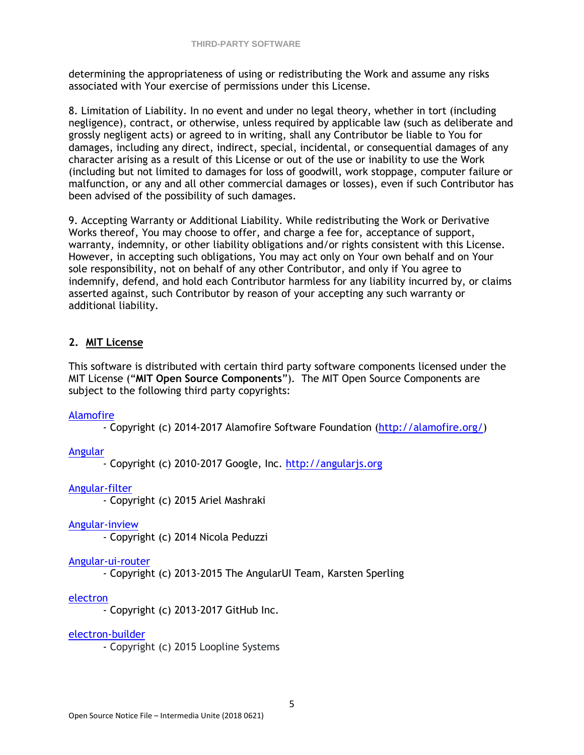determining the appropriateness of using or redistributing the Work and assume any risks associated with Your exercise of permissions under this License.

8. Limitation of Liability. In no event and under no legal theory, whether in tort (including negligence), contract, or otherwise, unless required by applicable law (such as deliberate and grossly negligent acts) or agreed to in writing, shall any Contributor be liable to You for damages, including any direct, indirect, special, incidental, or consequential damages of any character arising as a result of this License or out of the use or inability to use the Work (including but not limited to damages for loss of goodwill, work stoppage, computer failure or malfunction, or any and all other commercial damages or losses), even if such Contributor has been advised of the possibility of such damages.

9. Accepting Warranty or Additional Liability. While redistributing the Work or Derivative Works thereof, You may choose to offer, and charge a fee for, acceptance of support, warranty, indemnity, or other liability obligations and/or rights consistent with this License. However, in accepting such obligations, You may act only on Your own behalf and on Your sole responsibility, not on behalf of any other Contributor, and only if You agree to indemnify, defend, and hold each Contributor harmless for any liability incurred by, or claims asserted against, such Contributor by reason of your accepting any such warranty or additional liability.

# **2. MIT License**

This software is distributed with certain third party software components licensed under the MIT License ("**MIT Open Source Components**"). The MIT Open Source Components are subject to the following third party copyrights:

# [Alamofire](https://github.com/Alamofire/Alamofire/blob/master/LICENSE)

- Copyright (c) 2014-2017 Alamofire Software Foundation [\(http://alamofire.org/\)](http://alamofire.org/)

# [Angular](https://github.com/angular/angular.js/blob/master/LICENSE)

- Copyright (c) 2010-2017 Google, Inc. [http://angularjs.org](http://angularjs.org/)

## [Angular-filter](https://github.com/a8m/angular-filter/blob/master/license.md)

- Copyright (c) 2015 Ariel Mashraki

[Angular-inview](https://github.com/thenikso/angular-inview/blob/master/LICENSE)

- Copyright (c) 2014 Nicola Peduzzi

# [Angular-ui-router](https://github.com/angular-ui/ui-router/blob/master/LICENSE)

- Copyright (c) 2013-2015 The AngularUI Team, Karsten Sperling

# [electron](https://github.com/electron/electron/blob/master/LICENSE)

- Copyright (c) 2013-2017 GitHub Inc.

## [electron-builder](https://github.com/electron-userland/electron-builder)

- Copyright (c) 2015 Loopline Systems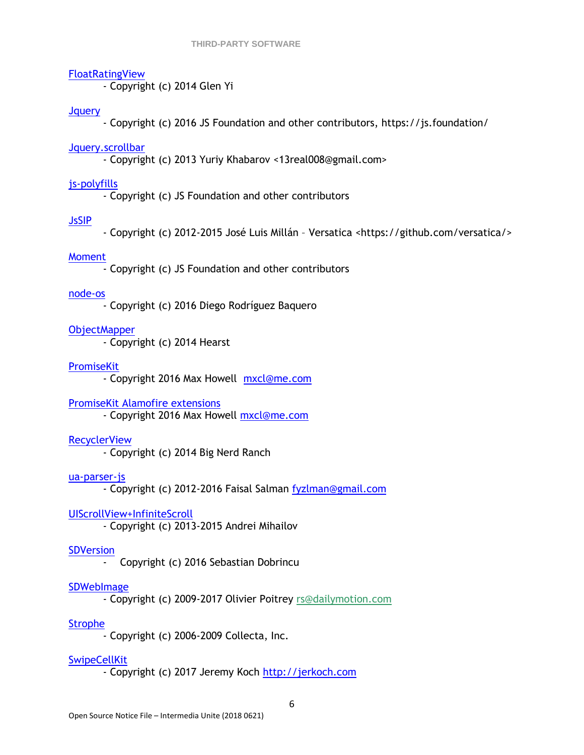#### [FloatRatingView](https://github.com/glenyi/FloatRatingView/blob/master/LICENSE)

- Copyright (c) 2014 Glen Yi

#### **J**query

- Copyright (c) 2016 JS Foundation and other contributors, https://js.foundation/

#### [Jquery.scrollbar](https://github.com/gromo/jquery.scrollbar/blob/master/license-mit.txt)

- Copyright (c) 2013 Yuriy Khabarov <13real008@gmail.com>

#### [js-polyfills](https://github.com/inexorabletash/polyfill/blob/master/LICENSE.md)

- Copyright (c) JS Foundation and other contributors

## [JsSIP](https://github.com/versatica/JsSIP/blob/master/LICENSE)

- Copyright (c) 2012-2015 José Luis Millán – Versatica <https://github.com/versatica/>

#### [Moment](https://github.com/moment/moment/blob/develop/LICENSE)

- Copyright (c) JS Foundation and other contributors

#### [node-os](https://github.com/DiegoRBaquero/node-os/blob/master/LICENSE)

- Copyright (c) 2016 Diego Rodríguez Baquero

**[ObjectMapper](https://github.com/Hearst-DD/ObjectMapper)** 

- Copyright (c) 2014 Hearst

#### **[PromiseKit](https://github.com/mxcl/PromiseKit/blob/master/LICENSE)**

- Copyright 2016 Max Howell [mxcl@me.com](mailto:mxcl@me.com)

## [PromiseKit Alamofire extensions](https://github.com/PromiseKit/Alamofire-)

- Copyright 2016 Max Howell [mxcl@me.com](mailto:mxcl@me.com)

## [RecyclerView](https://github.com/bignerdranch/recyclerview-multiselect)

- Copyright (c) 2014 Big Nerd Ranch

#### [ua-parser-js](https://github.com/faisalman/ua-parser-js)

- Copyright (c) 2012-2016 Faisal Salman [fyzlman@gmail.com](mailto:fyzlman@gmail.com)

## [UIScrollView+InfiniteScroll](https://github.com/pronebird/UIScrollView-InfiniteScroll)

- Copyright (c) 2013-2015 Andrei Mihailov

#### **SDVersion**

- Copyright (c) 2016 Sebastian Dobrincu

## **[SDWebImage](https://github.com/rs/SDWebImage)**

- Copyright (c) 2009-2017 Olivier Poitrey [rs@dailymotion.com](mailto:rs@dailymotion.com)

# [Strophe](https://github.com/strophe/strophejs/blob/master/LICENSE.txt)

- Copyright (c) 2006-2009 Collecta, Inc.

## [SwipeCellKit](https://github.com/SwipeCellKit/SwipeCellKit/blob/develop/LICENSE)

- Copyright (c) 2017 Jeremy Koch [http://jerkoch.com](http://jerkoch.com/)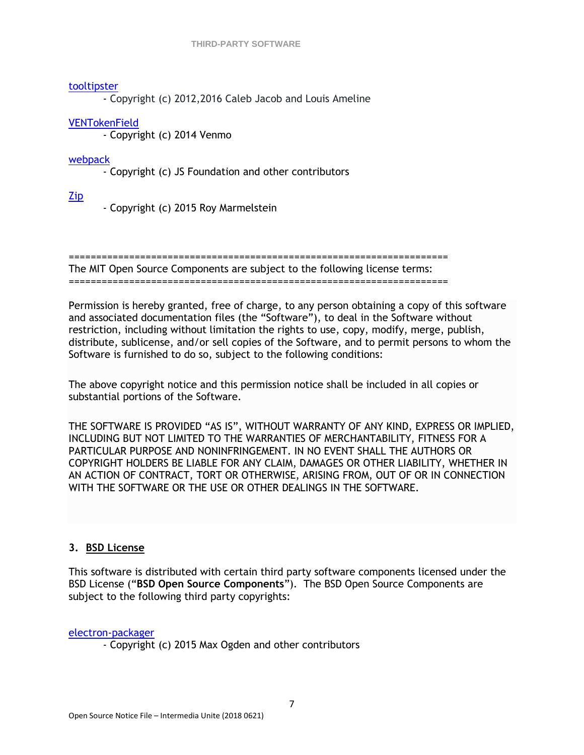## [tooltipster](https://github.com/iamceege/tooltipster)

- Copyright (c) 2012,2016 Caleb Jacob and Louis Ameline

# [VENTokenField](https://github.com/venmo/VENTokenField)

- Copyright (c) 2014 Venmo

[webpack](https://github.com/webpack/webpack/blob/master/LICENSE)

- Copyright (c) JS Foundation and other contributors

[Zip](https://github.com/marmelroy/Zip/blob/master/LICENSE)

- Copyright (c) 2015 Roy Marmelstein

=====================================================================

The MIT Open Source Components are subject to the following license terms: =====================================================================

Permission is hereby granted, free of charge, to any person obtaining a copy of this software and associated documentation files (the "Software"), to deal in the Software without restriction, including without limitation the rights to use, copy, modify, merge, publish, distribute, sublicense, and/or sell copies of the Software, and to permit persons to whom the Software is furnished to do so, subject to the following conditions:

The above copyright notice and this permission notice shall be included in all copies or substantial portions of the Software.

THE SOFTWARE IS PROVIDED "AS IS", WITHOUT WARRANTY OF ANY KIND, EXPRESS OR IMPLIED, INCLUDING BUT NOT LIMITED TO THE WARRANTIES OF MERCHANTABILITY, FITNESS FOR A PARTICULAR PURPOSE AND NONINFRINGEMENT. IN NO EVENT SHALL THE AUTHORS OR COPYRIGHT HOLDERS BE LIABLE FOR ANY CLAIM, DAMAGES OR OTHER LIABILITY, WHETHER IN AN ACTION OF CONTRACT, TORT OR OTHERWISE, ARISING FROM, OUT OF OR IN CONNECTION WITH THE SOFTWARE OR THE USE OR OTHER DEALINGS IN THE SOFTWARE.

# **3. BSD License**

This software is distributed with certain third party software components licensed under the BSD License ("**BSD Open Source Components**"). The BSD Open Source Components are subject to the following third party copyrights:

[electron-packager](https://github.com/electron-userland/electron-packager/blob/master/LICENSE)

- Copyright (c) 2015 Max Ogden and other contributors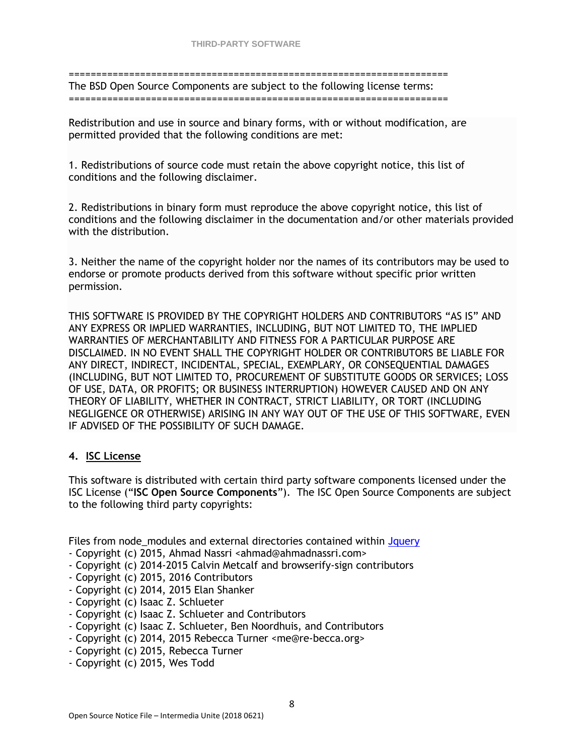=====================================================================

The BSD Open Source Components are subject to the following license terms: =====================================================================

Redistribution and use in source and binary forms, with or without modification, are permitted provided that the following conditions are met:

1. Redistributions of source code must retain the above copyright notice, this list of conditions and the following disclaimer.

2. Redistributions in binary form must reproduce the above copyright notice, this list of conditions and the following disclaimer in the documentation and/or other materials provided with the distribution.

3. Neither the name of the copyright holder nor the names of its contributors may be used to endorse or promote products derived from this software without specific prior written permission.

THIS SOFTWARE IS PROVIDED BY THE COPYRIGHT HOLDERS AND CONTRIBUTORS "AS IS" AND ANY EXPRESS OR IMPLIED WARRANTIES, INCLUDING, BUT NOT LIMITED TO, THE IMPLIED WARRANTIES OF MERCHANTABILITY AND FITNESS FOR A PARTICULAR PURPOSE ARE DISCLAIMED. IN NO EVENT SHALL THE COPYRIGHT HOLDER OR CONTRIBUTORS BE LIABLE FOR ANY DIRECT, INDIRECT, INCIDENTAL, SPECIAL, EXEMPLARY, OR CONSEQUENTIAL DAMAGES (INCLUDING, BUT NOT LIMITED TO, PROCUREMENT OF SUBSTITUTE GOODS OR SERVICES; LOSS OF USE, DATA, OR PROFITS; OR BUSINESS INTERRUPTION) HOWEVER CAUSED AND ON ANY THEORY OF LIABILITY, WHETHER IN CONTRACT, STRICT LIABILITY, OR TORT (INCLUDING NEGLIGENCE OR OTHERWISE) ARISING IN ANY WAY OUT OF THE USE OF THIS SOFTWARE, EVEN IF ADVISED OF THE POSSIBILITY OF SUCH DAMAGE.

# **4. ISC License**

This software is distributed with certain third party software components licensed under the ISC License ("**ISC Open Source Components**"). The ISC Open Source Components are subject to the following third party copyrights:

Files from node modules and external directories contained within Jauery

- Copyright (c) 2015, Ahmad Nassri <ahmad@ahmadnassri.com>
- Copyright (c) 2014-2015 Calvin Metcalf and browserify-sign contributors
- Copyright (c) 2015, 2016 Contributors
- Copyright (c) 2014, 2015 Elan Shanker
- Copyright (c) Isaac Z. Schlueter
- Copyright (c) Isaac Z. Schlueter and Contributors
- Copyright (c) Isaac Z. Schlueter, Ben Noordhuis, and Contributors
- Copyright (c) 2014, 2015 Rebecca Turner <me@re-becca.org>
- Copyright (c) 2015, Rebecca Turner
- Copyright (c) 2015, Wes Todd